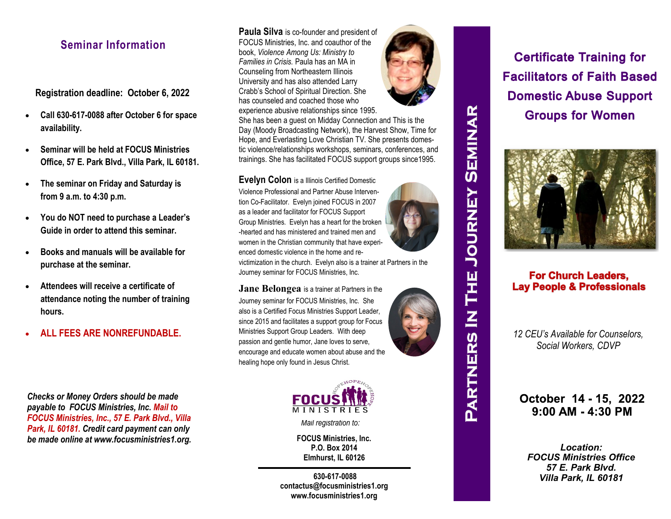## **Seminar Information**

**Registration deadline: October 6, 2022**

- **Call 630-617-0088 after October 6 for space availability.**
- **Seminar will be held at FOCUS Ministries Office, 57 E. Park Blvd., Villa Park, IL 60181.**
- **The seminar on Friday and Saturday is from 9 a.m. to 4:30 p.m.**
- **You do NOT need to purchase a Leader's Guide in order to attend this seminar.**
- **Books and manuals will be available for purchase at the seminar.**
- **Attendees will receive a certificate of attendance noting the number of training hours.**
- **ALL FEES ARE NONREFUNDABLE.**

*Checks or Money Orders should be made payable to FOCUS Ministries, Inc. Mail to FOCUS Ministries, Inc., 57 E. Park Blvd., Villa Park, IL 60181. Credit card payment can only be made online at www.focusministries1.org.* **Paula Silva** is co-founder and president of FOCUS Ministries, Inc. and coauthor of the book, *Violence Among Us: Ministry to Families in Crisis.* Paula has an MA in Counseling from Northeastern Illinois University and has also attended Larry Crabb's School of Spiritual Direction. She has counseled and coached those who experience abusive relationships since 1995.



She has been a guest on Midday Connection and This is the Day (Moody Broadcasting Network), the Harvest Show, Time for Hope, and Everlasting Love Christian TV. She presents domestic violence/relationships workshops, seminars, conferences, and trainings. She has facilitated FOCUS support groups since1995.

**Evelyn Colon** is a Illinois Certified Domestic

Violence Professional and Partner Abuse Intervention Co-Facilitator. Evelyn joined FOCUS in 2007 as a leader and facilitator for FOCUS Support Group Ministries. Evelyn has a heart for the broken -hearted and has ministered and trained men and women in the Christian community that have experienced domestic violence in the home and re-



**JOURNEY SEMINAR** 

**THE** 

 $\overline{\mathsf{z}}$ 

**PARTNERS** 

victimization in the church. Evelyn also is a trainer at Partners in the Journey seminar for FOCUS Ministries, Inc.

**Jane Belongea** is a trainer at Partners in the Journey seminar for FOCUS Ministries, Inc. She also is a Certified Focus Ministries Support Leader, since 2015 and facilitates a support group for Focus Ministries Support Group Leaders. With deep passion and gentle humor, Jane loves to serve, encourage and educate women about abuse and the healing hope only found in Jesus Christ.





*Mail registration to:*

**FOCUS Ministries, Inc. P.O. Box 2014 Elmhurst, IL 60126**

**630-617-0088 contactus@focusministries1.org www.focusministries1.org**

**Certificate Training for Facilitators of Faith Based Domestic Abuse Support Groups for Women** 



### **For Church Leaders. Lay People & Professionals**

*12 CEU's Available for Counselors, Social Workers, CDVP* 

October 14 - 15, 2022  $9:00$  AM - 4:30 PM

*Location: FOCUS Ministries Office 57 E. Park Blvd. Villa Park, IL 60181*